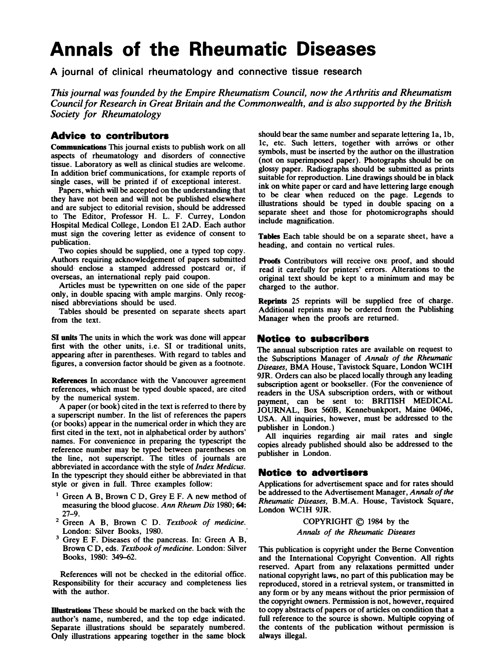# Annals of the Rheumatic Diseases

A journal of clinical rheumatology and connective tissue research

This journal was founded by the Empire Rheumatism Council, now the Arthritis and Rheumatism Councilfor Research in Great Britain and the Commonwealth, and is also supported by the British Society for Rheumatology

#### Advice to contributor

Communications This journal exists to publish work on all aspects of rheumatology and disorders of connective tissue. Laboratory as well as clinical studies are welcome. In addition brief communications, for example reports of single cases, will be printed if of exceptional interest.

Papers, which will be accepted on the understanding that they have not been and will not be published elsewhere and are subject to editorial revision, should be addressed to The Editor, Professor H. L. F. Currey, London Hospital Medical College, London El 2AD. Each author must sign the covering letter as evidence of consent to publication.

Two copies should be supplied, one <sup>a</sup> typed top copy. Authors requiring acknowledgement of papers submitted should enclose a stamped addressed postcard or, if overseas, an international reply paid coupon.

Articles must be typewritten on one side of the paper only, in double spacing with ample margins. Only recognised abbreviations should be used.

Tables should be presented on separate sheets apart from the text.

SI units The units in which the work was done will appear first with the other units, i.e. SI or traditional units, appearing after in parentheses. With regard to tables and figures, a conversion factor should be given as a footnote.

References In accordance with the Vancouver agreement references, which must be typed double spaced, are cited by the numerical system.

A paper (or book) cited in the text is referred to there by a superscript number. In the list of references the papers (or books) appear in the numerical order in which they are first cited in the text, not in alphabetical order by authors' names. For convenience in preparing the typescript the reference number may be typed between parentheses on the line, not superscript. The titles of joumals are abbreviated in accordance with the style of Index Medicus. In the typescript they should either be abbreviated in that style or given in full. Three examples follow:

- $<sup>1</sup>$  Green A B, Brown C D, Grey E F. A new method of</sup> measuring the blood glucose. Ann Rheum Dis 1980; 64: 27-9.
- <sup>2</sup> Green A B, Brown C D. Textbook of medicine. London: Silver Books, 1980.
- <sup>3</sup> Grey E F. Diseases of the pancreas. In: Green A B, Brown C D, eds. Textbook of medicine. London: Silver Books, 1980: 349-62.

References will not be checked in the editorial office. Responsibility for their accuracy and completeness lies with the author.

lhustrations These should be marked on the back with the author's name, numbered, and the top edge indicated. Separate illustrations should be separately numbered. Only illustrations appearing together in the same block should bear the same number and separate lettering la, lb, 1c, etc. Such letters, together with arrows or other symbols, must be inserted by the author on the illustration (not on superimposed paper). Photographs should be on glossy paper. Radiographs should be submitted as prints suitable for reproduction. Line drawings should be in black ink on white paper or card and have lettering large enough to be clear when reduced on the page. Legends to illustrations should be typed in double spacing on a separate sheet and those for photomicrographs should include magnification.

Tables Each table should be on a separate sheet, have a heading, and contain no vertical rules.

Proofs Contributors will receive one proof, and should read it carefully for printers' errors. Alterations to the original text should be kept to a minimum and may be charged to the author.

Reprints 25 reprints will be supplied free of charge. Additional reprints may be ordered from the Publishing Manager when the proofs are returned.

#### Notice to subscribers

The annual subscription rates are available on request to the Subscriptions Manager of Annals of the Rheumatic Diseases, BMA House, Tavistock Square, London WC1H 9JR. Orders can also be placed locally through any leading subscription agent or bookseller. (For the convenience of readers in the USA subscription orders, with or without payment, can be sent to: BRITISH MEDICAL JOURNAL, Box 560B, Kennebunkport, Maine 04046, USA. All inquiries, however, must be addressed to the publisher in London.)

All inquiries regarding air mail rates and single copies already published should also be addressed to the publisher in London.

#### Notice to advertisers

Applications for advertisement space and for rates should be addressed to the Advertisement Manager, Annals of the Rheumatic Diseases, B.M.A. House, Tavistock Square, London WC1H 9JR.

> COPYRIGHT  $\oslash$  1984 by the Annals of the Rheumatic Diseases

This publication is copyright under the Berne Convention and the International Copyright Convention. All rights reserved. Apart from any relaxations permitted under national copyright laws, no part of this publication may be reproduced, stored in a retrieval system, or transmitted in any form or by any means without the prior permission of the copyright owners. Permission is not, however, required to copy abstracts of papers or of articles on condition that a full reference to the source is shown. Multiple copying of the contents of the publication without permission is always illegal.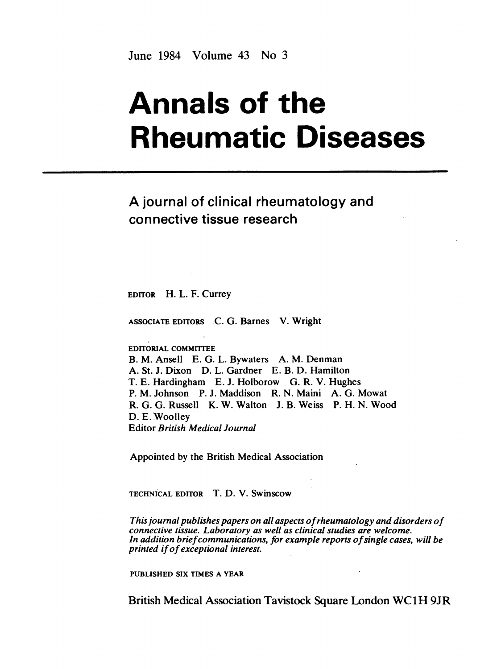June 1984 Volume 43 No 3

# Annals of the Rheumatic Diseases

# A journal of clinical rheumatology and connective tissue research

EDITOR H. L. F. Currey

ASSOCIATE EDITORS C. G. Barnes V. Wright

EDITORIAL COMMIITEE

B. M. Ansell E. G. L. Bywaters A. M. Denman A. St. J. Dixon D. L. Gardner E. B. D. Hamilton T. E. Hardingham E. J. Holborow G. R. V. Hughes P. M. Johnson P. J. Maddison R. N. Maini A. G. Mowat R. G. G. Russell K. W. Walton J. B. Weiss P. H. N. Wood D. E. Woolley Editor British Medical Journal

Appointed by the British Medical Association

TECHNICAL EDITOR T. D. V. Swinscow

This journal publishes papers on all aspects ofrheumatology and disorders of connective tissue. Laboratory as well as clinical studies are welcome. In addition brief communications, for example reports of single cases, will be printed ifof exceptional interest.

PUBLISHED SIX TIMES A YEAR

British Medical Association Tavistock Square London WC1H 9JR